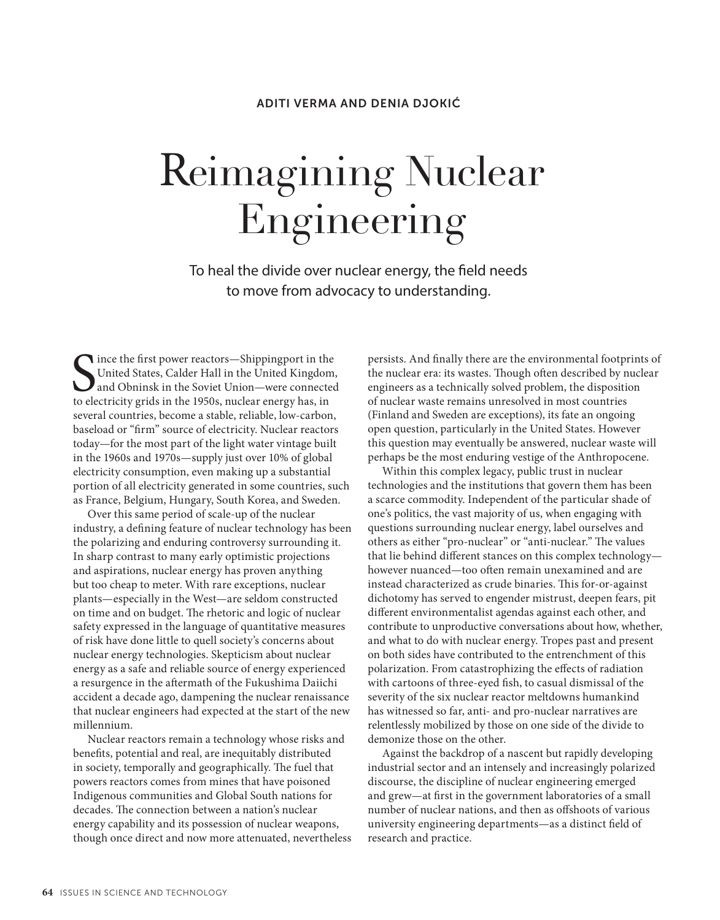### ADITI VERMA AND DENIA DJOKIĆ

# Reimagining Nuclear Engineering

To heal the divide over nuclear energy, the field needs to move from advocacy to understanding.

S<sub>to ele</sub> Ince the first power reactors—Shippingport in the United States, Calder Hall in the United Kingdom, and Obninsk in the Soviet Union—were connected to electricity grids in the 1950s, nuclear energy has, in several countries, become a stable, reliable, low-carbon, baseload or "firm" source of electricity. Nuclear reactors today—for the most part of the light water vintage built in the 1960s and 1970s—supply just over 10% of global electricity consumption, even making up a substantial portion of all electricity generated in some countries, such as France, Belgium, Hungary, South Korea, and Sweden.

Over this same period of scale-up of the nuclear industry, a defining feature of nuclear technology has been the polarizing and enduring controversy surrounding it. In sharp contrast to many early optimistic projections and aspirations, nuclear energy has proven anything but too cheap to meter. With rare exceptions, nuclear plants—especially in the West—are seldom constructed on time and on budget. The rhetoric and logic of nuclear safety expressed in the language of quantitative measures of risk have done little to quell society's concerns about nuclear energy technologies. Skepticism about nuclear energy as a safe and reliable source of energy experienced a resurgence in the aftermath of the Fukushima Daiichi accident a decade ago, dampening the nuclear renaissance that nuclear engineers had expected at the start of the new millennium.

Nuclear reactors remain a technology whose risks and benefits, potential and real, are inequitably distributed in society, temporally and geographically. The fuel that powers reactors comes from mines that have poisoned Indigenous communities and Global South nations for decades. The connection between a nation's nuclear energy capability and its possession of nuclear weapons, though once direct and now more attenuated, nevertheless persists. And finally there are the environmental footprints of the nuclear era: its wastes. Though often described by nuclear engineers as a technically solved problem, the disposition of nuclear waste remains unresolved in most countries (Finland and Sweden are exceptions), its fate an ongoing open question, particularly in the United States. However this question may eventually be answered, nuclear waste will perhaps be the most enduring vestige of the Anthropocene.

Within this complex legacy, public trust in nuclear technologies and the institutions that govern them has been a scarce commodity. Independent of the particular shade of one's politics, the vast majority of us, when engaging with questions surrounding nuclear energy, label ourselves and others as either "pro-nuclear" or "anti-nuclear." The values that lie behind different stances on this complex technology however nuanced—too often remain unexamined and are instead characterized as crude binaries. This for-or-against dichotomy has served to engender mistrust, deepen fears, pit different environmentalist agendas against each other, and contribute to unproductive conversations about how, whether, and what to do with nuclear energy. Tropes past and present on both sides have contributed to the entrenchment of this polarization. From catastrophizing the effects of radiation with cartoons of three-eyed fish, to casual dismissal of the severity of the six nuclear reactor meltdowns humankind has witnessed so far, anti- and pro-nuclear narratives are relentlessly mobilized by those on one side of the divide to demonize those on the other.

Against the backdrop of a nascent but rapidly developing industrial sector and an intensely and increasingly polarized discourse, the discipline of nuclear engineering emerged and grew—at first in the government laboratories of a small number of nuclear nations, and then as offshoots of various university engineering departments—as a distinct field of research and practice.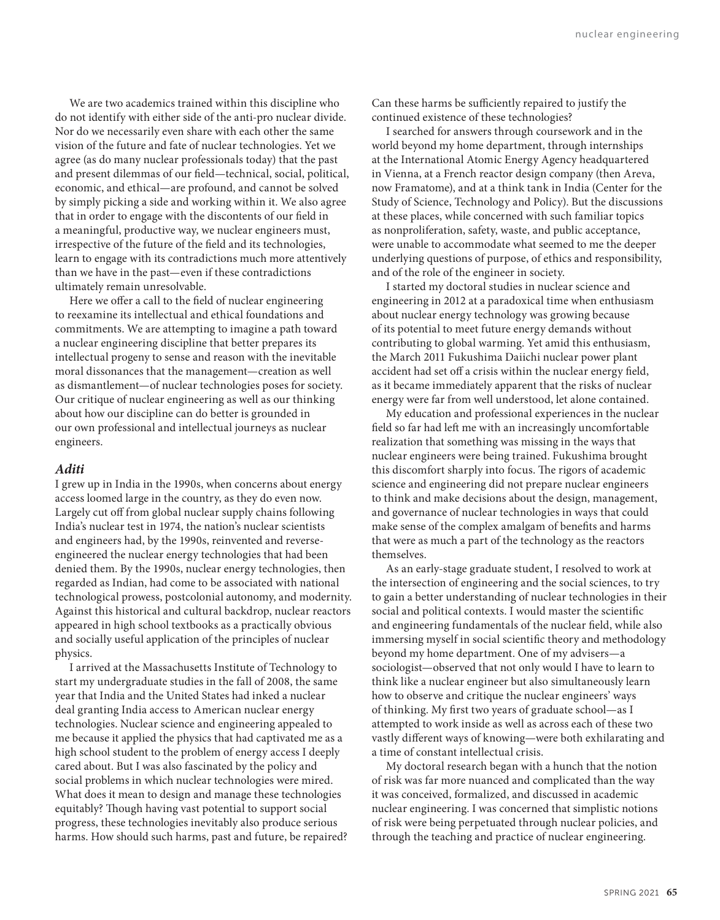We are two academics trained within this discipline who do not identify with either side of the anti-pro nuclear divide. Nor do we necessarily even share with each other the same vision of the future and fate of nuclear technologies. Yet we agree (as do many nuclear professionals today) that the past and present dilemmas of our field—technical, social, political, economic, and ethical—are profound, and cannot be solved by simply picking a side and working within it. We also agree that in order to engage with the discontents of our field in a meaningful, productive way, we nuclear engineers must, irrespective of the future of the field and its technologies, learn to engage with its contradictions much more attentively than we have in the past—even if these contradictions ultimately remain unresolvable.

Here we offer a call to the field of nuclear engineering to reexamine its intellectual and ethical foundations and commitments. We are attempting to imagine a path toward a nuclear engineering discipline that better prepares its intellectual progeny to sense and reason with the inevitable moral dissonances that the management—creation as well as dismantlement—of nuclear technologies poses for society. Our critique of nuclear engineering as well as our thinking about how our discipline can do better is grounded in our own professional and intellectual journeys as nuclear engineers.

#### *Aditi*

I grew up in India in the 1990s, when concerns about energy access loomed large in the country, as they do even now. Largely cut off from global nuclear supply chains following India's nuclear test in 1974, the nation's nuclear scientists and engineers had, by the 1990s, reinvented and reverseengineered the nuclear energy technologies that had been denied them. By the 1990s, nuclear energy technologies, then regarded as Indian, had come to be associated with national technological prowess, postcolonial autonomy, and modernity. Against this historical and cultural backdrop, nuclear reactors appeared in high school textbooks as a practically obvious and socially useful application of the principles of nuclear physics.

I arrived at the Massachusetts Institute of Technology to start my undergraduate studies in the fall of 2008, the same year that India and the United States had inked a nuclear deal granting India access to American nuclear energy technologies. Nuclear science and engineering appealed to me because it applied the physics that had captivated me as a high school student to the problem of energy access I deeply cared about. But I was also fascinated by the policy and social problems in which nuclear technologies were mired. What does it mean to design and manage these technologies equitably? Though having vast potential to support social progress, these technologies inevitably also produce serious harms. How should such harms, past and future, be repaired? Can these harms be sufficiently repaired to justify the continued existence of these technologies?

I searched for answers through coursework and in the world beyond my home department, through internships at the International Atomic Energy Agency headquartered in Vienna, at a French reactor design company (then Areva, now Framatome), and at a think tank in India (Center for the Study of Science, Technology and Policy). But the discussions at these places, while concerned with such familiar topics as nonproliferation, safety, waste, and public acceptance, were unable to accommodate what seemed to me the deeper underlying questions of purpose, of ethics and responsibility, and of the role of the engineer in society.

I started my doctoral studies in nuclear science and engineering in 2012 at a paradoxical time when enthusiasm about nuclear energy technology was growing because of its potential to meet future energy demands without contributing to global warming. Yet amid this enthusiasm, the March 2011 Fukushima Daiichi nuclear power plant accident had set off a crisis within the nuclear energy field, as it became immediately apparent that the risks of nuclear energy were far from well understood, let alone contained.

My education and professional experiences in the nuclear field so far had left me with an increasingly uncomfortable realization that something was missing in the ways that nuclear engineers were being trained. Fukushima brought this discomfort sharply into focus. The rigors of academic science and engineering did not prepare nuclear engineers to think and make decisions about the design, management, and governance of nuclear technologies in ways that could make sense of the complex amalgam of benefits and harms that were as much a part of the technology as the reactors themselves.

As an early-stage graduate student, I resolved to work at the intersection of engineering and the social sciences, to try to gain a better understanding of nuclear technologies in their social and political contexts. I would master the scientific and engineering fundamentals of the nuclear field, while also immersing myself in social scientific theory and methodology beyond my home department. One of my advisers—a sociologist—observed that not only would I have to learn to think like a nuclear engineer but also simultaneously learn how to observe and critique the nuclear engineers' ways of thinking. My first two years of graduate school—as I attempted to work inside as well as across each of these two vastly different ways of knowing—were both exhilarating and a time of constant intellectual crisis.

My doctoral research began with a hunch that the notion of risk was far more nuanced and complicated than the way it was conceived, formalized, and discussed in academic nuclear engineering. I was concerned that simplistic notions of risk were being perpetuated through nuclear policies, and through the teaching and practice of nuclear engineering.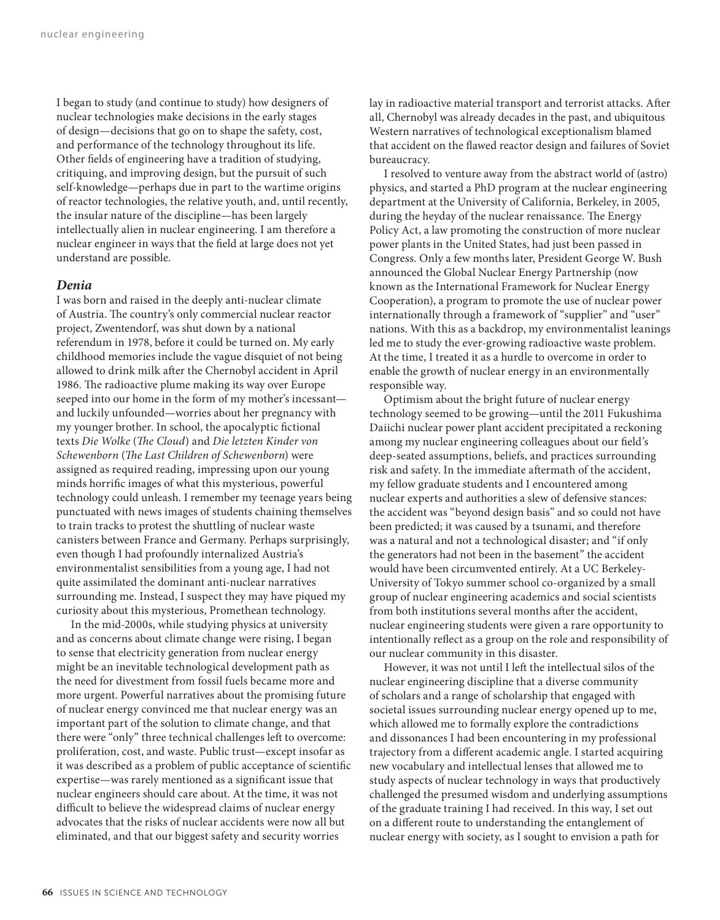I began to study (and continue to study) how designers of nuclear technologies make decisions in the early stages of design—decisions that go on to shape the safety, cost, and performance of the technology throughout its life. Other fields of engineering have a tradition of studying, critiquing, and improving design, but the pursuit of such self-knowledge—perhaps due in part to the wartime origins of reactor technologies, the relative youth, and, until recently, the insular nature of the discipline—has been largely intellectually alien in nuclear engineering. I am therefore a nuclear engineer in ways that the field at large does not yet understand are possible.

#### *Denia*

I was born and raised in the deeply anti-nuclear climate of Austria. The country's only commercial nuclear reactor project, Zwentendorf, was shut down by a national referendum in 1978, before it could be turned on. My early childhood memories include the vague disquiet of not being allowed to drink milk after the Chernobyl accident in April 1986. The radioactive plume making its way over Europe seeped into our home in the form of my mother's incessant and luckily unfounded—worries about her pregnancy with my younger brother. In school, the apocalyptic fictional texts *Die Wolke* (*The Cloud*) and *Die letzten Kinder von Schewenborn* (*The Last Children of Schewenborn*) were assigned as required reading, impressing upon our young minds horrific images of what this mysterious, powerful technology could unleash. I remember my teenage years being punctuated with news images of students chaining themselves to train tracks to protest the shuttling of nuclear waste canisters between France and Germany. Perhaps surprisingly, even though I had profoundly internalized Austria's environmentalist sensibilities from a young age, I had not quite assimilated the dominant anti-nuclear narratives surrounding me. Instead, I suspect they may have piqued my curiosity about this mysterious, Promethean technology.

In the mid-2000s, while studying physics at university and as concerns about climate change were rising, I began to sense that electricity generation from nuclear energy might be an inevitable technological development path as the need for divestment from fossil fuels became more and more urgent. Powerful narratives about the promising future of nuclear energy convinced me that nuclear energy was an important part of the solution to climate change, and that there were "only" three technical challenges left to overcome: proliferation, cost, and waste. Public trust—except insofar as it was described as a problem of public acceptance of scientific expertise—was rarely mentioned as a significant issue that nuclear engineers should care about. At the time, it was not difficult to believe the widespread claims of nuclear energy advocates that the risks of nuclear accidents were now all but eliminated, and that our biggest safety and security worries

lay in radioactive material transport and terrorist attacks. After all, Chernobyl was already decades in the past, and ubiquitous Western narratives of technological exceptionalism blamed that accident on the flawed reactor design and failures of Soviet bureaucracy.

I resolved to venture away from the abstract world of (astro) physics, and started a PhD program at the nuclear engineering department at the University of California, Berkeley, in 2005, during the heyday of the nuclear renaissance. The Energy Policy Act, a law promoting the construction of more nuclear power plants in the United States, had just been passed in Congress. Only a few months later, President George W. Bush announced the Global Nuclear Energy Partnership (now known as the International Framework for Nuclear Energy Cooperation), a program to promote the use of nuclear power internationally through a framework of "supplier" and "user" nations. With this as a backdrop, my environmentalist leanings led me to study the ever-growing radioactive waste problem. At the time, I treated it as a hurdle to overcome in order to enable the growth of nuclear energy in an environmentally responsible way.

Optimism about the bright future of nuclear energy technology seemed to be growing—until the 2011 Fukushima Daiichi nuclear power plant accident precipitated a reckoning among my nuclear engineering colleagues about our field's deep-seated assumptions, beliefs, and practices surrounding risk and safety. In the immediate aftermath of the accident, my fellow graduate students and I encountered among nuclear experts and authorities a slew of defensive stances: the accident was "beyond design basis" and so could not have been predicted; it was caused by a tsunami, and therefore was a natural and not a technological disaster; and "if only the generators had not been in the basement" the accident would have been circumvented entirely. At a UC Berkeley-University of Tokyo summer school co-organized by a small group of nuclear engineering academics and social scientists from both institutions several months after the accident, nuclear engineering students were given a rare opportunity to intentionally reflect as a group on the role and responsibility of our nuclear community in this disaster.

However, it was not until I left the intellectual silos of the nuclear engineering discipline that a diverse community of scholars and a range of scholarship that engaged with societal issues surrounding nuclear energy opened up to me, which allowed me to formally explore the contradictions and dissonances I had been encountering in my professional trajectory from a different academic angle. I started acquiring new vocabulary and intellectual lenses that allowed me to study aspects of nuclear technology in ways that productively challenged the presumed wisdom and underlying assumptions of the graduate training I had received. In this way, I set out on a different route to understanding the entanglement of nuclear energy with society, as I sought to envision a path for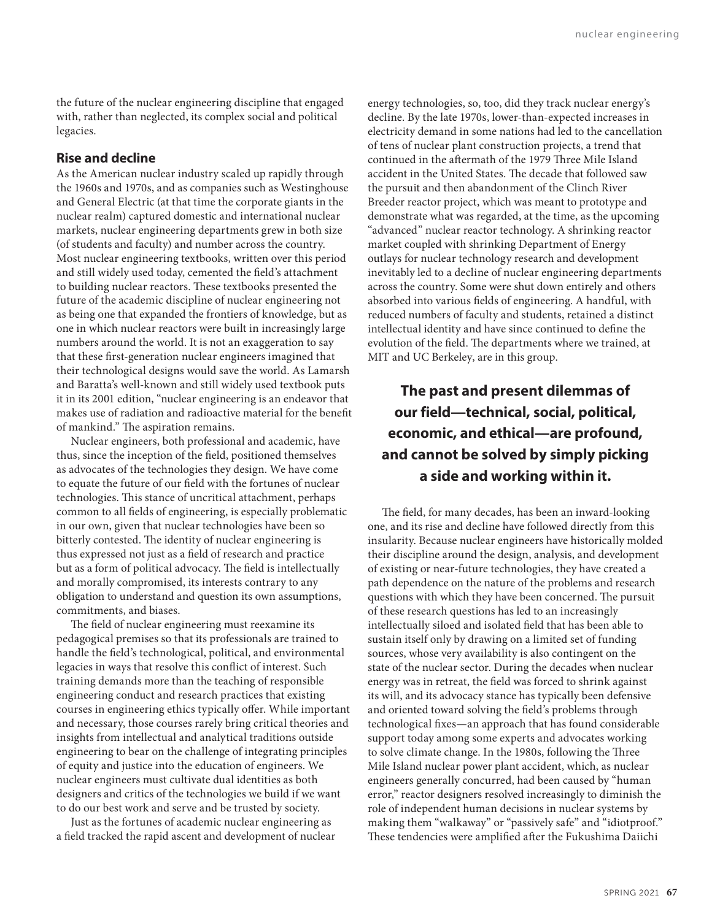the future of the nuclear engineering discipline that engaged with, rather than neglected, its complex social and political legacies.

#### **Rise and decline**

As the American nuclear industry scaled up rapidly through the 1960s and 1970s, and as companies such as Westinghouse and General Electric (at that time the corporate giants in the nuclear realm) captured domestic and international nuclear markets, nuclear engineering departments grew in both size (of students and faculty) and number across the country. Most nuclear engineering textbooks, written over this period and still widely used today, cemented the field's attachment to building nuclear reactors. These textbooks presented the future of the academic discipline of nuclear engineering not as being one that expanded the frontiers of knowledge, but as one in which nuclear reactors were built in increasingly large numbers around the world. It is not an exaggeration to say that these first-generation nuclear engineers imagined that their technological designs would save the world. As Lamarsh and Baratta's well-known and still widely used textbook puts it in its 2001 edition, "nuclear engineering is an endeavor that makes use of radiation and radioactive material for the benefit of mankind." The aspiration remains.

Nuclear engineers, both professional and academic, have thus, since the inception of the field, positioned themselves as advocates of the technologies they design. We have come to equate the future of our field with the fortunes of nuclear technologies. This stance of uncritical attachment, perhaps common to all fields of engineering, is especially problematic in our own, given that nuclear technologies have been so bitterly contested. The identity of nuclear engineering is thus expressed not just as a field of research and practice but as a form of political advocacy. The field is intellectually and morally compromised, its interests contrary to any obligation to understand and question its own assumptions, commitments, and biases.

The field of nuclear engineering must reexamine its pedagogical premises so that its professionals are trained to handle the field's technological, political, and environmental legacies in ways that resolve this conflict of interest. Such training demands more than the teaching of responsible engineering conduct and research practices that existing courses in engineering ethics typically offer. While important and necessary, those courses rarely bring critical theories and insights from intellectual and analytical traditions outside engineering to bear on the challenge of integrating principles of equity and justice into the education of engineers. We nuclear engineers must cultivate dual identities as both designers and critics of the technologies we build if we want to do our best work and serve and be trusted by society.

Just as the fortunes of academic nuclear engineering as a field tracked the rapid ascent and development of nuclear energy technologies, so, too, did they track nuclear energy's decline. By the late 1970s, lower-than-expected increases in electricity demand in some nations had led to the cancellation of tens of nuclear plant construction projects, a trend that continued in the aftermath of the 1979 Three Mile Island accident in the United States. The decade that followed saw the pursuit and then abandonment of the Clinch River Breeder reactor project, which was meant to prototype and demonstrate what was regarded, at the time, as the upcoming "advanced" nuclear reactor technology. A shrinking reactor market coupled with shrinking Department of Energy outlays for nuclear technology research and development inevitably led to a decline of nuclear engineering departments across the country. Some were shut down entirely and others absorbed into various fields of engineering. A handful, with reduced numbers of faculty and students, retained a distinct intellectual identity and have since continued to define the evolution of the field. The departments where we trained, at MIT and UC Berkeley, are in this group.

## **The past and present dilemmas of our field—technical, social, political, economic, and ethical—are profound, and cannot be solved by simply picking a side and working within it.**

The field, for many decades, has been an inward-looking one, and its rise and decline have followed directly from this insularity. Because nuclear engineers have historically molded their discipline around the design, analysis, and development of existing or near-future technologies, they have created a path dependence on the nature of the problems and research questions with which they have been concerned. The pursuit of these research questions has led to an increasingly intellectually siloed and isolated field that has been able to sustain itself only by drawing on a limited set of funding sources, whose very availability is also contingent on the state of the nuclear sector. During the decades when nuclear energy was in retreat, the field was forced to shrink against its will, and its advocacy stance has typically been defensive and oriented toward solving the field's problems through technological fixes—an approach that has found considerable support today among some experts and advocates working to solve climate change. In the 1980s, following the Three Mile Island nuclear power plant accident, which, as nuclear engineers generally concurred, had been caused by "human error," reactor designers resolved increasingly to diminish the role of independent human decisions in nuclear systems by making them "walkaway" or "passively safe" and "idiotproof." These tendencies were amplified after the Fukushima Daiichi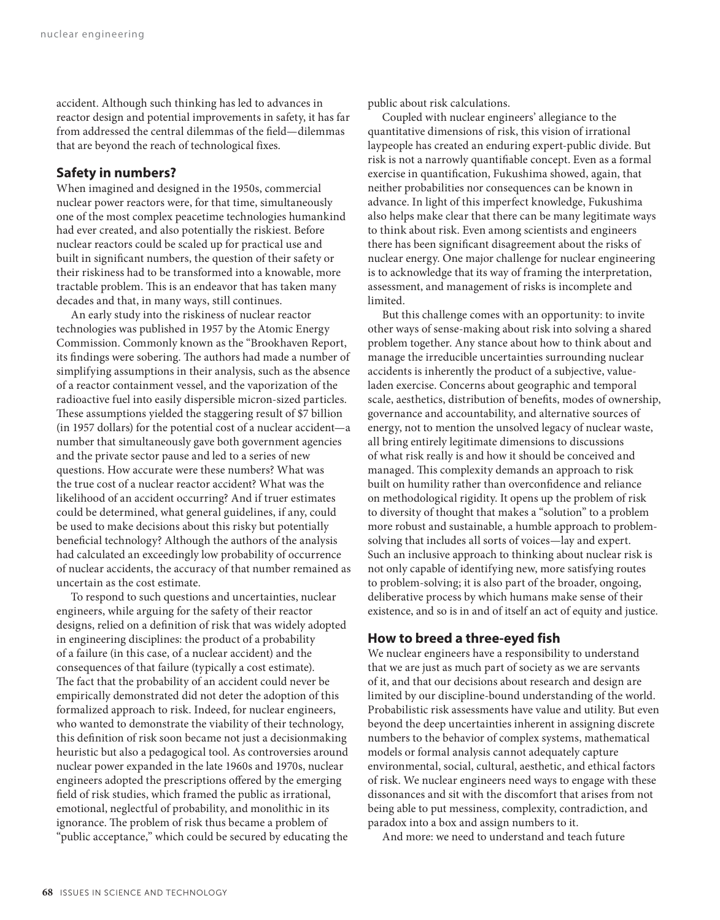accident. Although such thinking has led to advances in reactor design and potential improvements in safety, it has far from addressed the central dilemmas of the field—dilemmas that are beyond the reach of technological fixes.

#### **Safety in numbers?**

When imagined and designed in the 1950s, commercial nuclear power reactors were, for that time, simultaneously one of the most complex peacetime technologies humankind had ever created, and also potentially the riskiest. Before nuclear reactors could be scaled up for practical use and built in significant numbers, the question of their safety or their riskiness had to be transformed into a knowable, more tractable problem. This is an endeavor that has taken many decades and that, in many ways, still continues.

An early study into the riskiness of nuclear reactor technologies was published in 1957 by the Atomic Energy Commission. Commonly known as the "Brookhaven Report, its findings were sobering. The authors had made a number of simplifying assumptions in their analysis, such as the absence of a reactor containment vessel, and the vaporization of the radioactive fuel into easily dispersible micron-sized particles. These assumptions yielded the staggering result of \$7 billion (in 1957 dollars) for the potential cost of a nuclear accident—a number that simultaneously gave both government agencies and the private sector pause and led to a series of new questions. How accurate were these numbers? What was the true cost of a nuclear reactor accident? What was the likelihood of an accident occurring? And if truer estimates could be determined, what general guidelines, if any, could be used to make decisions about this risky but potentially beneficial technology? Although the authors of the analysis had calculated an exceedingly low probability of occurrence of nuclear accidents, the accuracy of that number remained as uncertain as the cost estimate.

To respond to such questions and uncertainties, nuclear engineers, while arguing for the safety of their reactor designs, relied on a definition of risk that was widely adopted in engineering disciplines: the product of a probability of a failure (in this case, of a nuclear accident) and the consequences of that failure (typically a cost estimate). The fact that the probability of an accident could never be empirically demonstrated did not deter the adoption of this formalized approach to risk. Indeed, for nuclear engineers, who wanted to demonstrate the viability of their technology, this definition of risk soon became not just a decisionmaking heuristic but also a pedagogical tool. As controversies around nuclear power expanded in the late 1960s and 1970s, nuclear engineers adopted the prescriptions offered by the emerging field of risk studies, which framed the public as irrational, emotional, neglectful of probability, and monolithic in its ignorance. The problem of risk thus became a problem of "public acceptance," which could be secured by educating the public about risk calculations.

Coupled with nuclear engineers' allegiance to the quantitative dimensions of risk, this vision of irrational laypeople has created an enduring expert-public divide. But risk is not a narrowly quantifiable concept. Even as a formal exercise in quantification, Fukushima showed, again, that neither probabilities nor consequences can be known in advance. In light of this imperfect knowledge, Fukushima also helps make clear that there can be many legitimate ways to think about risk. Even among scientists and engineers there has been significant disagreement about the risks of nuclear energy. One major challenge for nuclear engineering is to acknowledge that its way of framing the interpretation, assessment, and management of risks is incomplete and limited.

But this challenge comes with an opportunity: to invite other ways of sense-making about risk into solving a shared problem together. Any stance about how to think about and manage the irreducible uncertainties surrounding nuclear accidents is inherently the product of a subjective, valueladen exercise. Concerns about geographic and temporal scale, aesthetics, distribution of benefits, modes of ownership, governance and accountability, and alternative sources of energy, not to mention the unsolved legacy of nuclear waste, all bring entirely legitimate dimensions to discussions of what risk really is and how it should be conceived and managed. This complexity demands an approach to risk built on humility rather than overconfidence and reliance on methodological rigidity. It opens up the problem of risk to diversity of thought that makes a "solution" to a problem more robust and sustainable, a humble approach to problemsolving that includes all sorts of voices—lay and expert. Such an inclusive approach to thinking about nuclear risk is not only capable of identifying new, more satisfying routes to problem-solving; it is also part of the broader, ongoing, deliberative process by which humans make sense of their existence, and so is in and of itself an act of equity and justice.

#### **How to breed a three-eyed fish**

We nuclear engineers have a responsibility to understand that we are just as much part of society as we are servants of it, and that our decisions about research and design are limited by our discipline-bound understanding of the world. Probabilistic risk assessments have value and utility. But even beyond the deep uncertainties inherent in assigning discrete numbers to the behavior of complex systems, mathematical models or formal analysis cannot adequately capture environmental, social, cultural, aesthetic, and ethical factors of risk. We nuclear engineers need ways to engage with these dissonances and sit with the discomfort that arises from not being able to put messiness, complexity, contradiction, and paradox into a box and assign numbers to it.

And more: we need to understand and teach future